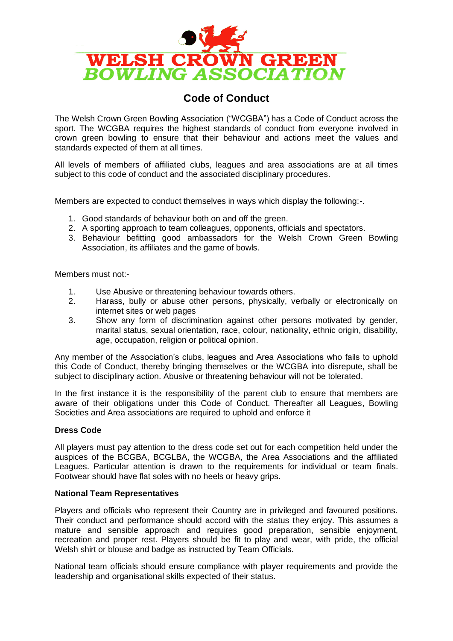

# **Code of Conduct**

The Welsh Crown Green Bowling Association ("WCGBA") has a Code of Conduct across the sport. The WCGBA requires the highest standards of conduct from everyone involved in crown green bowling to ensure that their behaviour and actions meet the values and standards expected of them at all times.

All levels of members of affiliated clubs, leagues and area associations are at all times subject to this code of conduct and the associated disciplinary procedures.

Members are expected to conduct themselves in ways which display the following:-.

- 1. Good standards of behaviour both on and off the green.
- 2. A sporting approach to team colleagues, opponents, officials and spectators.
- 3. Behaviour befitting good ambassadors for the Welsh Crown Green Bowling Association, its affiliates and the game of bowls.

Members must not:-

- 1. Use Abusive or threatening behaviour towards others.
- 2. Harass, bully or abuse other persons, physically, verbally or electronically on internet sites or web pages
- 3. Show any form of discrimination against other persons motivated by gender, marital status, sexual orientation, race, colour, nationality, ethnic origin, disability, age, occupation, religion or political opinion.

Any member of the Association's clubs, leagues and Area Associations who fails to uphold this Code of Conduct, thereby bringing themselves or the WCGBA into disrepute, shall be subject to disciplinary action. Abusive or threatening behaviour will not be tolerated.

In the first instance it is the responsibility of the parent club to ensure that members are aware of their obligations under this Code of Conduct. Thereafter all Leagues, Bowling Societies and Area associations are required to uphold and enforce it

### **Dress Code**

All players must pay attention to the dress code set out for each competition held under the auspices of the BCGBA, BCGLBA, the WCGBA, the Area Associations and the affiliated Leagues. Particular attention is drawn to the requirements for individual or team finals. Footwear should have flat soles with no heels or heavy grips.

### **National Team Representatives**

Players and officials who represent their Country are in privileged and favoured positions. Their conduct and performance should accord with the status they enjoy. This assumes a mature and sensible approach and requires good preparation, sensible enjoyment, recreation and proper rest. Players should be fit to play and wear, with pride, the official Welsh shirt or blouse and badge as instructed by Team Officials.

National team officials should ensure compliance with player requirements and provide the leadership and organisational skills expected of their status.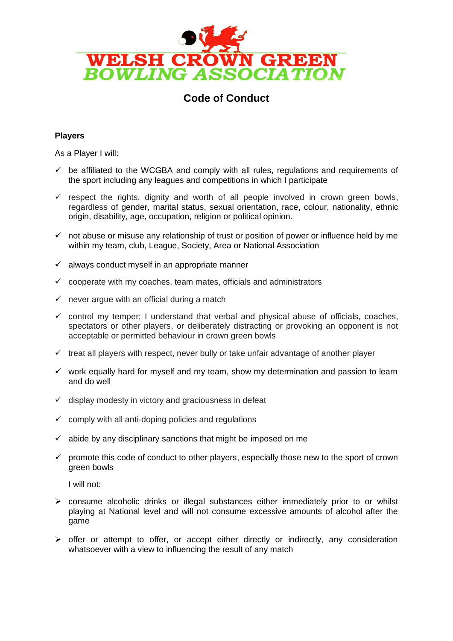

# **Code of Conduct**

## **Players**

As a Player I will:

- $\checkmark$  be affiliated to the WCGBA and comply with all rules, regulations and requirements of the sport including any leagues and competitions in which I participate
- $\checkmark$  respect the rights, dignity and worth of all people involved in crown green bowls, regardless of gender, marital status, sexual orientation, race, colour, nationality, ethnic origin, disability, age, occupation, religion or political opinion.
- $\checkmark$  not abuse or misuse any relationship of trust or position of power or influence held by me within my team, club, League, Society, Area or National Association
- $\checkmark$  always conduct myself in an appropriate manner
- $\checkmark$  cooperate with my coaches, team mates, officials and administrators
- $\checkmark$  never argue with an official during a match
- $\checkmark$  control my temper; I understand that verbal and physical abuse of officials, coaches, spectators or other players, or deliberately distracting or provoking an opponent is not acceptable or permitted behaviour in crown green bowls
- $\checkmark$  treat all players with respect, never bully or take unfair advantage of another player
- $\checkmark$  work equally hard for myself and my team, show my determination and passion to learn and do well
- $\checkmark$  display modesty in victory and graciousness in defeat
- $\checkmark$  comply with all anti-doping policies and regulations
- $\checkmark$  abide by any disciplinary sanctions that might be imposed on me
- $\checkmark$  promote this code of conduct to other players, especially those new to the sport of crown green bowls

I will not:

- $\triangleright$  consume alcoholic drinks or illegal substances either immediately prior to or whilst playing at National level and will not consume excessive amounts of alcohol after the game
- $\triangleright$  offer or attempt to offer, or accept either directly or indirectly, any consideration whatsoever with a view to influencing the result of any match